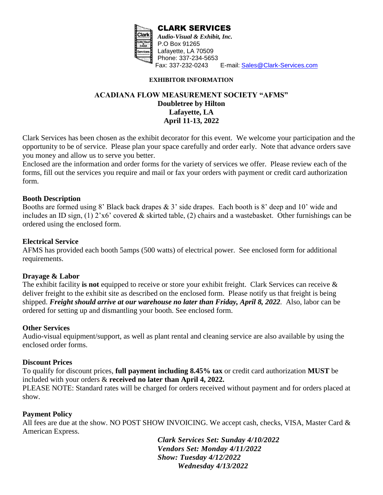

#### **EXHIBITOR INFORMATION**

# **ACADIANA FLOW MEASUREMENT SOCIETY "AFMS" Doubletree by Hilton Lafayette, LA April 11-13, 2022**

Clark Services has been chosen as the exhibit decorator for this event. We welcome your participation and the opportunity to be of service. Please plan your space carefully and order early. Note that advance orders save you money and allow us to serve you better.

Enclosed are the information and order forms for the variety of services we offer. Please review each of the forms, fill out the services you require and mail or fax your orders with payment or credit card authorization form.

#### **Booth Description**

Booths are formed using 8' Black back drapes & 3' side drapes. Each booth is 8' deep and 10' wide and includes an ID sign, (1) 2'x6' covered & skirted table, (2) chairs and a wastebasket. Other furnishings can be ordered using the enclosed form.

## **Electrical Service**

AFMS has provided each booth 5amps (500 watts) of electrical power. See enclosed form for additional requirements.

## **Drayage & Labor**

The exhibit facility **is not** equipped to receive or store your exhibit freight. Clark Services can receive & deliver freight to the exhibit site as described on the enclosed form. Please notify us that freight is being shipped. *Freight should arrive at our warehouse no later than Friday, April 8, 2022.* Also, labor can be ordered for setting up and dismantling your booth. See enclosed form.

## **Other Services**

Audio-visual equipment/support, as well as plant rental and cleaning service are also available by using the enclosed order forms.

## **Discount Prices**

To qualify for discount prices, **full payment including 8.45% tax** or credit card authorization **MUST** be included with your orders & **received no later than April 4, 2022.**

PLEASE NOTE: Standard rates will be charged for orders received without payment and for orders placed at show.

## **Payment Policy**

All fees are due at the show. NO POST SHOW INVOICING. We accept cash, checks, VISA, Master Card & American Express.

> *Clark Services Set: Sunday 4/10/2022 Vendors Set: Monday 4/11/2022 Show: Tuesday 4/12/2022 Wednesday 4/13/2022*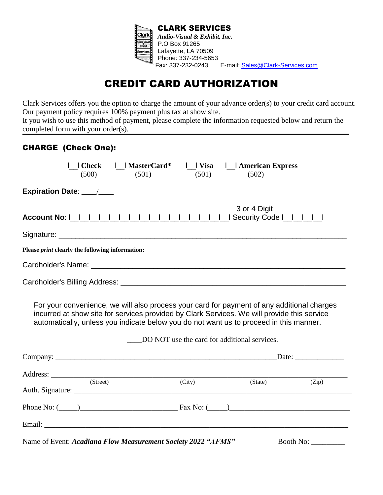

# CREDIT CARD AUTHORIZATION

Clark Services offers you the option to charge the amount of your advance order(s) to your credit card account. Our payment policy requires 100% payment plus tax at show site.

It you wish to use this method of payment, please complete the information requested below and return the completed form with your order(s).

# CHARGE (Check One):

| Check   MasterCard*<br>(500)<br>(501)                                                                                                                                                                                                                                               | (501)                                        | Visa       American Express<br>(502) |           |
|-------------------------------------------------------------------------------------------------------------------------------------------------------------------------------------------------------------------------------------------------------------------------------------|----------------------------------------------|--------------------------------------|-----------|
| Expiration Date: ___/___                                                                                                                                                                                                                                                            |                                              |                                      |           |
|                                                                                                                                                                                                                                                                                     |                                              | 3 or 4 Digit                         |           |
|                                                                                                                                                                                                                                                                                     |                                              |                                      |           |
| Please <i>print</i> clearly the following information:                                                                                                                                                                                                                              |                                              |                                      |           |
|                                                                                                                                                                                                                                                                                     |                                              |                                      |           |
|                                                                                                                                                                                                                                                                                     |                                              |                                      |           |
| For your convenience, we will also process your card for payment of any additional charges<br>incurred at show site for services provided by Clark Services. We will provide this service<br>automatically, unless you indicate below you do not want us to proceed in this manner. | DO NOT use the card for additional services. |                                      |           |
|                                                                                                                                                                                                                                                                                     |                                              |                                      |           |
|                                                                                                                                                                                                                                                                                     |                                              |                                      |           |
| (Street)                                                                                                                                                                                                                                                                            | (City)                                       | (State)                              | (Zip)     |
| Phone No: $(\_\_)$ Fax No: $(\_\_)$                                                                                                                                                                                                                                                 |                                              |                                      |           |
|                                                                                                                                                                                                                                                                                     |                                              |                                      |           |
| Name of Event: Acadiana Flow Measurement Society 2022 "AFMS"                                                                                                                                                                                                                        |                                              |                                      | Booth No: |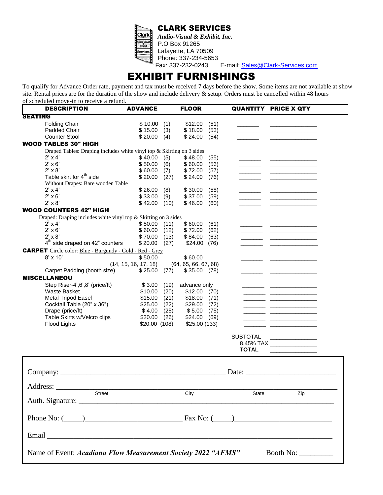

*Audio-Visual & Exhibit, Inc.* P.O Box 91265 Lafayette, LA 70509 Phone: 337-234-5653<br>Fax: 337-232-0243

E-mail: [Sales@Clark-Services.com](mailto:clarkservices@bellsouth.net)

# EXHIBIT FURNISHINGS

To qualify for Advance Order rate, payment and tax must be received 7 days before the show. Some items are not available at show site. Rental prices are for the duration of the show and include delivery & setup. Orders must be cancelled within 48 hours of scheduled move-in to receive a refund.

| <b>DESCRIPTION</b>                                                    | <b>ADVANCE</b>       |      | <b>FLOOR</b>         |      |                 | <b>QUANTITY PRICE X QTY</b>                                                                                                                                                                                                          |
|-----------------------------------------------------------------------|----------------------|------|----------------------|------|-----------------|--------------------------------------------------------------------------------------------------------------------------------------------------------------------------------------------------------------------------------------|
| <b>SEATING</b>                                                        |                      |      |                      |      |                 |                                                                                                                                                                                                                                      |
| <b>Folding Chair</b>                                                  | \$10.00              | (1)  | \$12.00              | (51) |                 |                                                                                                                                                                                                                                      |
| Padded Chair                                                          | \$15.00              | (3)  | \$18.00              | (53) |                 | <u>and the company of the company of the company of the company of the company of the company of the company of the company of the company of the company of the company of the company of the company of the company of the com</u> |
| <b>Counter Stool</b>                                                  | \$20.00              | (4)  | \$24.00              | (54) |                 |                                                                                                                                                                                                                                      |
| <b>WOOD TABLES 30" HIGH</b>                                           |                      |      |                      |      |                 |                                                                                                                                                                                                                                      |
| Draped Tables: Draping includes white vinyl top & Skirting on 3 sides |                      |      |                      |      |                 |                                                                                                                                                                                                                                      |
| $2' \times 4'$                                                        | \$40.00              | (5)  | \$48.00              | (55) |                 |                                                                                                                                                                                                                                      |
| $2' \times 6'$                                                        | \$50.00              | (6)  | \$60.00              | (56) |                 | <u> 1989 - Johann Barbara, martin a</u>                                                                                                                                                                                              |
| $2' \times 8'$                                                        | \$60.00              | (7)  | \$72.00              | (57) |                 | <u> 1989 - Johann John Harry Harry Harry Harry Harry Harry Harry Harry Harry Harry Harry Harry Harry Harry Harry Harry Harry Harry Harry Harry Harry Harry Harry Harry Harry Harry Harry Harry Harry Harry Harry Harry Harry Har</u> |
| Table skirt for 4 <sup>th</sup> side                                  | \$20.00              | (27) | \$24.00              | (76) |                 |                                                                                                                                                                                                                                      |
| Without Drapes: Bare wooden Table                                     |                      |      |                      |      |                 |                                                                                                                                                                                                                                      |
| $2' \times 4'$                                                        | \$26.00              | (8)  | \$30.00              | (58) |                 |                                                                                                                                                                                                                                      |
| $2' \times 6'$                                                        | \$33.00              | (9)  | \$37.00              | (59) |                 | <u> 1980 - John Harry Harry Harry Harry Harry Harry Harry Harry Harry Harry Harry Harry Harry Harry Harry Harry Harry Harry Harry Harry Harry Harry Harry Harry Harry Harry Harry Harry Harry Harry Harry Harry Harry Harry Harr</u> |
| $2' \times 8'$                                                        | \$42.00              | (10) | \$46.00              | (60) |                 |                                                                                                                                                                                                                                      |
| <b>WOOD COUNTERS 42" HIGH</b>                                         |                      |      |                      |      |                 |                                                                                                                                                                                                                                      |
| Draped: Draping includes white vinyl top & Skirting on 3 sides        |                      |      |                      |      |                 |                                                                                                                                                                                                                                      |
| $2' \times 4'$                                                        | \$50.00              | (11) | \$60.00              | (61) |                 | <u> 1989 - Jacques John Harry Harry Harry Harry Harry Harry Harry Harry Harry Harry Harry Harry Harry Harry Harry Harry Harry Harry Harry Harry Harry Harry Harry Harry Harry Harry Harry Harry Harry Harry Harry Harry Harry Ha</u> |
| $2' \times 6'$                                                        | \$60.00              | (12) | \$72.00              | (62) |                 |                                                                                                                                                                                                                                      |
| $2' \times 8'$                                                        | \$70.00              | (13) | \$84.00              | (63) |                 | <u> 1989 - John Harry Barn, mars and de Barn, mars and de Barn, mars and de Barn, mars and de Barn, mars and de</u>                                                                                                                  |
| $4th$ side draped on 42" counters                                     | \$20.00              | (27) | \$24.00              | (76) |                 |                                                                                                                                                                                                                                      |
| <b>CARPET</b> Circle color: Blue - Burgundy - Gold - Red - Grey       |                      |      |                      |      |                 |                                                                                                                                                                                                                                      |
| $8' \times 10'$                                                       | \$50.00              |      | \$60.00              |      |                 |                                                                                                                                                                                                                                      |
|                                                                       | (14, 15, 16, 17, 18) |      | (64, 65, 66, 67, 68) |      |                 |                                                                                                                                                                                                                                      |
| Carpet Padding (booth size)                                           | \$25.00              | (77) | \$35.00              | (78) |                 |                                                                                                                                                                                                                                      |
| <b>MISCELLANEOU</b>                                                   |                      |      |                      |      |                 |                                                                                                                                                                                                                                      |
| Step Riser-4',6',8' (price/ft)                                        | \$3.00               | (19) | advance only         |      |                 |                                                                                                                                                                                                                                      |
| Waste Basket                                                          | \$10.00              | (20) | \$12.00              | (70) |                 |                                                                                                                                                                                                                                      |
| Metal Tripod Easel                                                    | \$15.00              | (21) | \$18.00              | (71) |                 | <u> 1989 - John Harry Barn, mars and de Branch and de Branch and de Branch and de Branch and de Branch and de Bra</u>                                                                                                                |
| Cocktail Table (20" x 36")                                            | \$25.00              | (22) | \$29.00              | (72) |                 | <u> 1980 - Andrea Station, american provincia</u>                                                                                                                                                                                    |
| Drape (price/ft)                                                      | \$4.00               | (25) | \$5.00               | (75) |                 | <u> 1989 - Johann Barbara, martxa a shekara 1980</u>                                                                                                                                                                                 |
| Table Skirts w/Velcro clips                                           | \$20.00              | (26) | \$24.00              | (69) |                 | للمسار المسا                                                                                                                                                                                                                         |
| Flood Lights                                                          | \$20.00(108)         |      | \$25.00 (133)        |      |                 | <u> 1989 - Johann John Stone, mars et al. 1989 - John Stone, francouzski filozof (d. 1989)</u>                                                                                                                                       |
|                                                                       |                      |      |                      |      |                 |                                                                                                                                                                                                                                      |
|                                                                       |                      |      |                      |      | <b>SUBTOTAL</b> |                                                                                                                                                                                                                                      |
|                                                                       |                      |      |                      |      |                 | 8.45% TAX _________________                                                                                                                                                                                                          |
|                                                                       |                      |      |                      |      | <b>TOTAL</b>    |                                                                                                                                                                                                                                      |
|                                                                       |                      |      |                      |      |                 |                                                                                                                                                                                                                                      |
|                                                                       |                      |      |                      |      |                 |                                                                                                                                                                                                                                      |
|                                                                       |                      |      |                      |      |                 |                                                                                                                                                                                                                                      |
|                                                                       |                      |      |                      |      |                 |                                                                                                                                                                                                                                      |
|                                                                       |                      |      |                      |      |                 |                                                                                                                                                                                                                                      |
| $\overline{\text{Street}}$                                            |                      |      |                      |      |                 |                                                                                                                                                                                                                                      |
|                                                                       |                      |      | City                 |      | State           | Zip                                                                                                                                                                                                                                  |
|                                                                       |                      |      |                      |      |                 |                                                                                                                                                                                                                                      |
|                                                                       |                      |      |                      |      |                 |                                                                                                                                                                                                                                      |
| Phone No: $(\_\_)$ Fax No: $(\_\_)$                                   |                      |      |                      |      |                 |                                                                                                                                                                                                                                      |
|                                                                       |                      |      |                      |      |                 |                                                                                                                                                                                                                                      |
|                                                                       |                      |      |                      |      |                 |                                                                                                                                                                                                                                      |
|                                                                       |                      |      |                      |      |                 |                                                                                                                                                                                                                                      |
|                                                                       |                      |      |                      |      |                 |                                                                                                                                                                                                                                      |
| Name of Event: Acadiana Flow Measurement Society 2022 "AFMS"          |                      |      |                      |      |                 | Booth No: $\frac{1}{\sqrt{1-\frac{1}{2}}\cdot\sqrt{1-\frac{1}{2}}\cdot\sqrt{1-\frac{1}{2}}\cdot\sqrt{1-\frac{1}{2}}}}$                                                                                                               |
|                                                                       |                      |      |                      |      |                 |                                                                                                                                                                                                                                      |
|                                                                       |                      |      |                      |      |                 |                                                                                                                                                                                                                                      |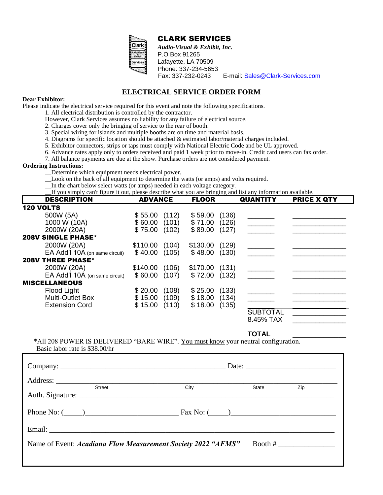

*Audio-Visual & Exhibit, Inc.* P.O Box 91265 Lafayette, LA 70509 Phone: 337-234-5653

Fax: 337-232-0243 E-mail: [Sales@Clark-Services.com](mailto:clarkservices@bellsouth.net)

# **ELECTRICAL SERVICE ORDER FORM**

#### **Dear Exhibitor:**

Please indicate the electrical service required for this event and note the following specifications.

- 1. All electrical distribution is controlled by the contractor.
- However, Clark Services assumes no liability for any failure of electrical source.
- 2. Charges cover only the bringing of service to the rear of booth.
- 3. Special wiring for islands and multiple booths are on time and material basis.
- 4. Diagrams for specific location should be attached & estimated labor/material charges included.
- 5. Exhibitor connectors, strips or taps must comply with National Electric Code and be UL approved.
- 6. Advance rates apply only to orders received and paid 1 week prior to move-in. Credit card users can fax order.
- 7. All balance payments are due at the show. Purchase orders are not considered payment.

#### **Ordering Instructions:**

- \_\_Determine which equipment needs electrical power.
- \_\_Look on the back of all equipment to determine the watts (or amps) and volts required.
- \_\_In the chart below select watts (or amps) needed in each voltage category.

\_\_If you simply can't figure it out, please describe what you are bringing and list any information available.

| <b>DESCRIPTION</b>                  | <b>ADVANCE</b> |       | <b>FLOOR</b> |       | <b>QUANTITY</b> | <b>PRICE X QTY</b> |
|-------------------------------------|----------------|-------|--------------|-------|-----------------|--------------------|
| <b>120 VOLTS</b>                    |                |       |              |       |                 |                    |
| 500W (5A)                           | \$55.00        | (112) | \$59.00      | (136) |                 |                    |
| 1000 W (10A)                        | \$60.00        | (101) | \$71.00      | (126) |                 |                    |
| 2000W (20A)                         | \$75.00        | (102) | \$89.00      | (127) |                 |                    |
| <b>SINGLE PHASE*</b><br><b>208V</b> |                |       |              |       |                 |                    |
| 2000W (20A)                         | \$110.00       | (104) | \$130.00     | (129) |                 |                    |
| EA Add'l 10A (on same circuit)      | \$40.00        | (105) | \$48.00      | (130) |                 |                    |
| <b>208V THREE PHASE*</b>            |                |       |              |       |                 |                    |
| 2000W (20A)                         | \$140.00       | (106) | \$170.00     | (131) |                 |                    |
| EA Add'l 10A (on same circuit)      | \$60.00        | (107) | \$72.00      | (132) |                 |                    |
| <b>MISCELLANEOUS</b>                |                |       |              |       |                 |                    |
| Flood Light                         | \$20.00        | (108) | \$25.00      | (133) |                 |                    |
| <b>Multi-Outlet Box</b>             | \$15.00        | (109) | \$18.00      | (134) |                 |                    |
| <b>Extension Cord</b>               | \$15.00        | (110) | \$18.00      | (135) |                 |                    |
|                                     |                |       |              |       | <b>SUBTOTAL</b> |                    |
|                                     |                |       |              |       | 8.45% TAX       |                    |

#### **TOTAL** \_\_\_\_\_\_\_\_\_\_\_\_\_\_

\*All 208 POWER IS DELIVERED "BARE WIRE". You must know your neutral configuration. Basic labor rate is \$38.00/hr

| City | State                                                        | Zip                                         |
|------|--------------------------------------------------------------|---------------------------------------------|
|      |                                                              |                                             |
|      |                                                              |                                             |
|      |                                                              | Booth #                                     |
|      | Name of Event: Acadiana Flow Measurement Society 2022 "AFMS" | Date: $\qquad \qquad$<br>Phone No: $(\_\_)$ |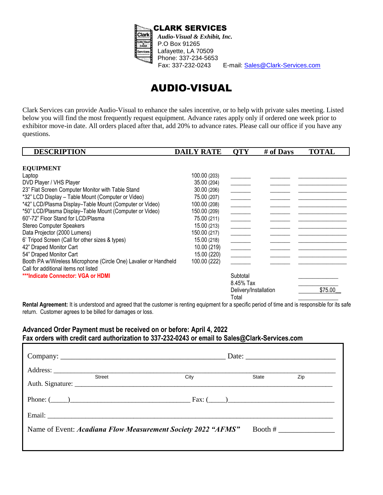

E-mail: [Sales@Clark-Services.com](mailto:clarkservices@bellsouth.net)

# AUDIO-VISUAL

Clark Services can provide Audio-Visual to enhance the sales incentive, or to help with private sales meeting. Listed below you will find the most frequently request equipment. Advance rates apply only if ordered one week prior to exhibitor move-in date. All orders placed after that, add 20% to advance rates. Please call our office if you have any questions.

| <b>DESCRIPTION</b>                                               | <b>DAILY RATE</b> | <b>OTY</b>                                                                                                                                                                                                                                                                                                                                                                                                                                               | # of Days | <b>TOTAL</b> |
|------------------------------------------------------------------|-------------------|----------------------------------------------------------------------------------------------------------------------------------------------------------------------------------------------------------------------------------------------------------------------------------------------------------------------------------------------------------------------------------------------------------------------------------------------------------|-----------|--------------|
|                                                                  |                   |                                                                                                                                                                                                                                                                                                                                                                                                                                                          |           |              |
| <b>EQUIPMENT</b>                                                 |                   |                                                                                                                                                                                                                                                                                                                                                                                                                                                          |           |              |
| Laptop                                                           | 100.00 (203)      |                                                                                                                                                                                                                                                                                                                                                                                                                                                          |           |              |
| DVD Player / VHS Player                                          | 35.00 (204)       |                                                                                                                                                                                                                                                                                                                                                                                                                                                          |           |              |
| 23" Flat Screen Computer Monitor with Table Stand                | 30.00 (206)       | $\frac{1}{\sqrt{1-\frac{1}{2}}}\left( \frac{1}{\sqrt{1-\frac{1}{2}}}\right) ^{2}$                                                                                                                                                                                                                                                                                                                                                                        |           |              |
| *32" LCD Display - Table Mount (Computer or Video)               | 75.00 (207)       | $\frac{1}{2}$                                                                                                                                                                                                                                                                                                                                                                                                                                            |           |              |
| *42" LCD/Plasma Display-Table Mount (Computer or Video)          | 100.00 (208)      | $\frac{1}{\sqrt{2\pi}}\left( \frac{1}{\sqrt{2\pi}}\right) \left( \frac{1}{\sqrt{2\pi}}\right) \left( \frac{1}{\sqrt{2\pi}}\right) \left( \frac{1}{\sqrt{2\pi}}\right) \left( \frac{1}{\sqrt{2\pi}}\right) \left( \frac{1}{\sqrt{2\pi}}\right) \left( \frac{1}{\sqrt{2\pi}}\right) \left( \frac{1}{\sqrt{2\pi}}\right) \left( \frac{1}{\sqrt{2\pi}}\right) \left( \frac{1}{\sqrt{2\pi}}\right) \left( \frac{1}{\sqrt{2\pi}}\right) \left( \frac{1}{\sqrt$ |           |              |
| *50" LCD/Plasma Display-Table Mount (Computer or Video)          | 150.00 (209)      |                                                                                                                                                                                                                                                                                                                                                                                                                                                          |           |              |
| 60"-72" Floor Stand for LCD/Plasma                               | 75.00 (211)       | $\begin{tabular}{ c c c } \hline \quad \quad & \quad \quad & \quad \quad \\ \hline \quad \quad & \quad \quad & \quad \quad \\ \hline \quad \quad & \quad \quad & \quad \quad \\ \hline \quad \quad & \quad \quad & \quad \quad \\ \hline \end{tabular}$                                                                                                                                                                                                  |           |              |
| Stereo Computer Speakers                                         | 15.00 (213)       | $\frac{1}{2}$                                                                                                                                                                                                                                                                                                                                                                                                                                            |           |              |
| Data Projector (2000 Lumens)                                     | 150.00 (217)      | $\frac{1}{1}$                                                                                                                                                                                                                                                                                                                                                                                                                                            |           |              |
| 6' Tripod Screen (Call for other sizes & types)                  | 15.00 (218)       | $\frac{1}{2} \left( \frac{1}{2} \right)^2 + \frac{1}{2} \left( \frac{1}{2} \right)^2 + \frac{1}{2} \left( \frac{1}{2} \right)^2 + \frac{1}{2} \left( \frac{1}{2} \right)^2 + \frac{1}{2} \left( \frac{1}{2} \right)^2 + \frac{1}{2} \left( \frac{1}{2} \right)^2 + \frac{1}{2} \left( \frac{1}{2} \right)^2 + \frac{1}{2} \left( \frac{1}{2} \right)^2 + \frac{1}{2} \left( \frac{1}{2} \right)^2 + \frac{1}{2} \left( \frac{1}{2} \right)^2 +$          |           |              |
| 42" Draped Monitor Cart                                          | 10.00 (219)       | $\frac{1}{\sqrt{1-\frac{1}{2}}}$                                                                                                                                                                                                                                                                                                                                                                                                                         |           |              |
| 54" Draped Monitor Cart                                          | 15.00 (220)       |                                                                                                                                                                                                                                                                                                                                                                                                                                                          |           |              |
| Booth PA w/Wireless Microphone (Circle One) Lavalier or Handheld | 100.00 (222)      |                                                                                                                                                                                                                                                                                                                                                                                                                                                          |           |              |
| Call for additional items not listed                             |                   |                                                                                                                                                                                                                                                                                                                                                                                                                                                          |           |              |
| ***Indicate Connector: VGA or HDMI                               |                   | Subtotal                                                                                                                                                                                                                                                                                                                                                                                                                                                 |           |              |
|                                                                  |                   | 8.45% Tax                                                                                                                                                                                                                                                                                                                                                                                                                                                |           |              |
|                                                                  |                   | Delivery/Installation                                                                                                                                                                                                                                                                                                                                                                                                                                    |           | \$75.00      |
|                                                                  |                   | Total                                                                                                                                                                                                                                                                                                                                                                                                                                                    |           |              |

Rental Agreement: It is understood and agreed that the customer is renting equipment for a specific period of time and is responsible for its safe return. Customer agrees to be billed for damages or loss.

# **Advanced Order Payment must be received on or before: April 4, 2022 Fax orders with credit card authorization to 337-232-0243 or email to Sales@Clark-Services.com**

 $\mathbb{E} \left[ \mathbb{E} \left[ \mathbb{E} \left[ \mathbb{E} \left[ \mathbb{E} \left[ \mathbb{E} \left[ \mathbb{E} \left[ \mathbb{E} \left[ \mathbb{E} \left[ \mathbb{E} \left[ \mathbb{E} \left[ \mathbb{E} \left[ \mathbb{E} \left[ \mathbb{E} \left[ \mathbb{E} \left[ \mathbb{E} \left[ \mathbb{E} \left[ \mathbb{E} \left[ \mathbb{E} \left[ \mathbb{E} \left[ \mathbb{E} \left[ \mathbb{E} \left[ \mathbb{E} \left[ \mathbb{E} \left[ \mathbb{$ 

| <b>Street</b>                                                | City | State | Zip     |
|--------------------------------------------------------------|------|-------|---------|
| Phone: $(\_\_)$                                              |      |       |         |
|                                                              |      |       |         |
| Name of Event: Acadiana Flow Measurement Society 2022 "AFMS" |      |       | Booth # |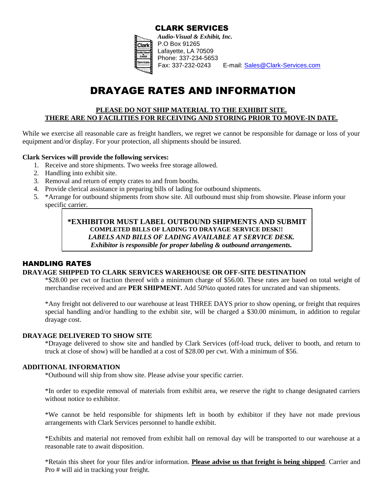

E-mail: [Sales@Clark-Services.com](mailto:clarkservices@bellsouth.net)

# DRAYAGE RATES AND INFORMATION

## **PLEASE DO NOT SHIP MATERIAL TO THE EXHIBIT SITE. THERE ARE NO FACILITIES FOR RECEIVING AND STORING PRIOR TO MOVE-IN DATE.**

While we exercise all reasonable care as freight handlers, we regret we cannot be responsible for damage or loss of your equipment and/or display. For your protection, all shipments should be insured.

#### **Clark Services will provide the following services:**

- 1. Receive and store shipments. Two weeks free storage allowed.
- 2. Handling into exhibit site.
- 3. Removal and return of empty crates to and from booths.
- 4. Provide clerical assistance in preparing bills of lading for outbound shipments.
- 5. \*Arrange for outbound shipments from show site. All outbound must ship from showsite. Please inform your specific carrier.

**\*EXHIBITOR MUST LABEL OUTBOUND SHIPMENTS AND SUBMIT COMPLETED BILLS OF LADING TO DRAYAGE SERVICE DESK!!**  *LABELS AND BILLS OF LADING AVAILABLE AT SERVICE DESK. Exhibitor is responsible for proper labeling & outbound arrangements.*

## HANDLING RATES

#### **DRAYAGE SHIPPED TO CLARK SERVICES WAREHOUSE OR OFF-SITE DESTINATION**

\*\$28.00 per cwt or fraction thereof with a minimum charge of \$56.00. These rates are based on total weight of merchandise received and are **PER SHIPMENT.** Add 50%to quoted rates for uncrated and van shipments.

\*Any freight not delivered to our warehouse at least THREE DAYS prior to show opening, or freight that requires special handling and/or handling to the exhibit site, will be charged a \$30.00 minimum, in addition to regular drayage cost.

#### **DRAYAGE DELIVERED TO SHOW SITE**

\*Drayage delivered to show site and handled by Clark Services (off-load truck, deliver to booth, and return to truck at close of show) will be handled at a cost of \$28.00 per cwt. With a minimum of \$56.

#### **ADDITIONAL INFORMATION**

\*Outbound will ship from show site. Please advise your specific carrier.

\*In order to expedite removal of materials from exhibit area, we reserve the right to change designated carriers without notice to exhibitor.

\*We cannot be held responsible for shipments left in booth by exhibitor if they have not made previous arrangements with Clark Services personnel to handle exhibit.

\*Exhibits and material not removed from exhibit hall on removal day will be transported to our warehouse at a reasonable rate to await disposition.

\*Retain this sheet for your files and/or information. **Please advise us that freight is being shipped**. Carrier and Pro # will aid in tracking your freight.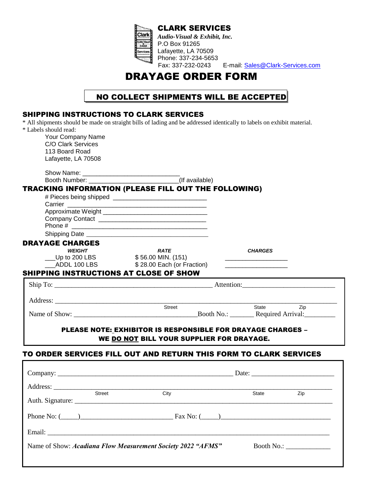

*Audio-Visual & Exhibit, Inc.* Lafayette, LA 70509 Phone: 337-234-5653<br>Fax: 337-232-0243 E-mail: **Sales@Clark-Services.com** 

# DRAYAGE ORDER FORM

# NO COLLECT SHIPMENTS WILL BE ACCEPTED

| <b>SHIPPING INSTRUCTIONS TO CLARK SERVICES</b> | * All shipments should be made on straight bills of lading and be addressed identically to labels on exhibit material. |                                                                   |
|------------------------------------------------|------------------------------------------------------------------------------------------------------------------------|-------------------------------------------------------------------|
| * Labels should read:                          |                                                                                                                        |                                                                   |
| Your Company Name                              |                                                                                                                        |                                                                   |
| C/O Clark Services                             |                                                                                                                        |                                                                   |
| 113 Board Road                                 |                                                                                                                        |                                                                   |
| Lafayette, LA 70508                            |                                                                                                                        |                                                                   |
|                                                |                                                                                                                        |                                                                   |
|                                                |                                                                                                                        |                                                                   |
|                                                | TRACKING INFORMATION (PLEASE FILL OUT THE FOLLOWING)                                                                   |                                                                   |
|                                                |                                                                                                                        |                                                                   |
|                                                |                                                                                                                        |                                                                   |
|                                                |                                                                                                                        |                                                                   |
|                                                |                                                                                                                        |                                                                   |
|                                                |                                                                                                                        |                                                                   |
| <b>DRAYAGE CHARGES</b>                         |                                                                                                                        |                                                                   |
| <b>WEIGHT</b>                                  | <b>RATE</b>                                                                                                            | <b>CHARGES</b>                                                    |
| $\_$ Up to 200 LBS                             | \$56.00 MIN. (151)                                                                                                     |                                                                   |
|                                                | ADDL 100 LBS \$28.00 Each (or Fraction)                                                                                |                                                                   |
| SHIPPING INSTRUCTIONS AT CLOSE OF SHOW         |                                                                                                                        |                                                                   |
|                                                |                                                                                                                        |                                                                   |
|                                                |                                                                                                                        |                                                                   |
| Address:                                       | Street                                                                                                                 | State Zip                                                         |
|                                                |                                                                                                                        | Name of Show: Booth No.: Required Arrival:                        |
|                                                |                                                                                                                        |                                                                   |
|                                                | <b>PLEASE NOTE: EXHIBITOR IS RESPONSIBLE FOR DRAYAGE CHARGES -</b>                                                     |                                                                   |
|                                                | WE DO NOT BILL YOUR SUPPLIER FOR DRAYAGE.                                                                              |                                                                   |
|                                                |                                                                                                                        |                                                                   |
|                                                |                                                                                                                        | TO ORDER SERVICES FILL OUT AND RETURN THIS FORM TO CLARK SERVICES |
|                                                |                                                                                                                        |                                                                   |
|                                                |                                                                                                                        | Date: $\frac{1}{\sqrt{1-\frac{1}{2}} \cdot \frac{1}{2}}$          |

| <b>Street</b> | City                                                        | State | Zip                                                                                                                |  |
|---------------|-------------------------------------------------------------|-------|--------------------------------------------------------------------------------------------------------------------|--|
|               | Phone No: $(\_\_)$ Fax No: $(\_\_)$                         |       |                                                                                                                    |  |
|               |                                                             |       |                                                                                                                    |  |
|               | Name of Show: Acadiana Flow Measurement Society 2022 "AFMS" |       | Booth No.: $\frac{1}{\sqrt{1-\frac{1}{2}}}\frac{1}{\sqrt{1-\frac{1}{2}}\sqrt{1-\frac{1}{2}}\sqrt{1-\frac{1}{2}}}}$ |  |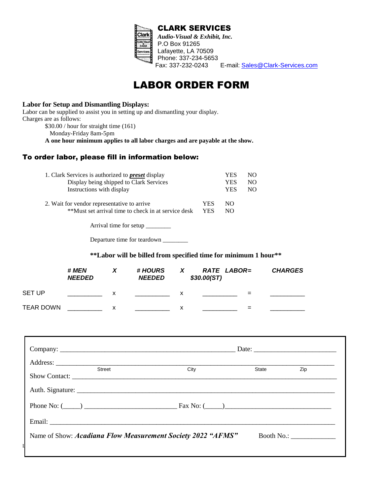

E-mail: **Sales@Clark-Services.com** 

# LABOR ORDER FORM

### **Labor for Setup and Dismantling Displays:**

| Labor can be supplied to assist you in setting up and dismantling your display. |
|---------------------------------------------------------------------------------|
| Charges are as follows:                                                         |
| $$30.00 / hour$ for straight time (161)                                         |
| Monday-Friday 8am-5pm                                                           |
| A one hour minimum applies to all labor charges and are payable at the show.    |

# To order labor, please fill in information below:

| 1. Clark Services is authorized to <b>preset</b> display                                           |            | YES.       | NO.            |
|----------------------------------------------------------------------------------------------------|------------|------------|----------------|
| Display being shipped to Clark Services                                                            |            | YES        | NO.            |
| Instructions with display                                                                          |            | <b>YES</b> | N <sub>O</sub> |
| 2. Wait for vendor representative to arrive<br>**Must set arrival time to check in at service desk | YES<br>YES | NO.<br>NΩ  |                |

Arrival time for setup \_\_\_\_\_\_\_\_

Departure time for teardown \_\_\_\_\_\_\_\_

#### **\*\*Labor will be billed from specified time for minimum 1 hour\*\***

|                  | # MEN<br><b>NEEDED</b> |   | # HOURS<br><b>NEEDED</b> |   | RATE LABOR=<br>\$30.00(ST) | <b>CHARGES</b> |
|------------------|------------------------|---|--------------------------|---|----------------------------|----------------|
| <b>SET UP</b>    |                        | х |                          | х | =                          |                |
| <b>TEAR DOWN</b> |                        | х |                          | х | =                          |                |

| Street | City<br>Show Contact:                                       | State | Zip        |  |  |  |  |
|--------|-------------------------------------------------------------|-------|------------|--|--|--|--|
|        |                                                             |       |            |  |  |  |  |
|        |                                                             |       |            |  |  |  |  |
|        |                                                             |       |            |  |  |  |  |
|        | Name of Show: Acadiana Flow Measurement Society 2022 "AFMS" |       | Booth No.: |  |  |  |  |